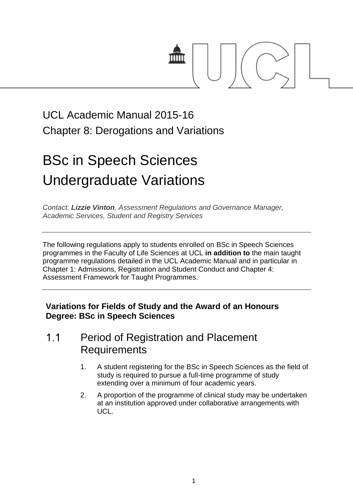

## UCL Academic Manual 2015-16 Chapter 8: Derogations and Variations

# BSc in Speech Sciences Undergraduate Variations

*Contact: [Lizzie Vinton](mailto:s.hinton@ucl.ac.uk), Assessment Regulations and Governance Manager, Academic Services, Student and Registry Services*

The following regulations apply to students enrolled on BSc in Speech Sciences programmes in the Faculty of Life Sciences at UCL **in addition to** the main taught programme regulations detailed in the UCL Academic Manual and in particular in Chapter 1: Admissions, Registration and Student Conduct and Chapter 4: Assessment Framework for Taught Programmes.

### **Variations for Fields of Study and the Award of an Honours Degree: BSc in Speech Sciences**

#### $1.1$ Period of Registration and Placement **Requirements**

- 1. A student registering for the BSc in Speech Sciences as the field of study is required to pursue a full-time programme of study extending over a minimum of four academic years.
- 2. A proportion of the programme of clinical study may be undertaken at an institution approved under collaborative arrangements with UCL.